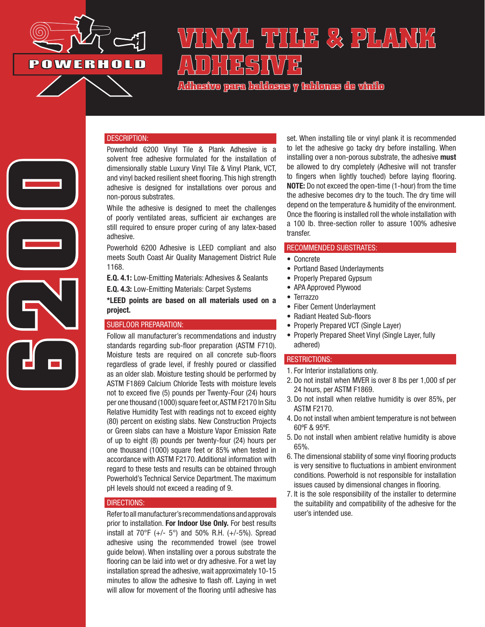

**6200** 

# **VINYL TILE & PLANK**  A\D}{|}X<del>(</del>S)\\/}X

**Adhesivo para baldosas y tablones de vinilo**

## DESCRIPTION:

Powerhold 6200 Vinyl Tile & Plank Adhesive is a solvent free adhesive formulated for the installation of dimensionally stable Luxury Vinyl Tile & Vinyl Plank, VCT, and vinyl backed resilient sheet flooring. This high strength adhesive is designed for installations over porous and non-porous substrates.

While the adhesive is designed to meet the challenges of poorly ventilated areas, sufficient air exchanges are still required to ensure proper curing of any latex-based adhesive.

Powerhold 6200 Adhesive is LEED compliant and also meets South Coast Air Quality Management District Rule 1168.

E.Q. 4.1: Low-Emitting Materials: Adhesives & Sealants

E.Q. 4.3: Low-Emitting Materials: Carpet Systems

\*LEED points are based on all materials used on a project.

#### SUBFLOOR PREPARATION:

Follow all manufacturer's recommendations and industry standards regarding sub-floor preparation (ASTM F710). Moisture tests are required on all concrete sub-floors regardless of grade level, if freshly poured or classified as an older slab. Moisture testing should be performed by ASTM F1869 Calcium Chloride Tests with moisture levels not to exceed five (5) pounds per Twenty-Four (24) hours per one thousand (1000) square feet or, ASTM F2170 In Situ Relative Humidity Test with readings not to exceed eighty (80) percent on existing slabs. New Construction Projects or Green slabs can have a Moisture Vapor Emission Rate of up to eight (8) pounds per twenty-four (24) hours per one thousand (1000) square feet or 85% when tested in accordance with ASTM F2170. Additional information with regard to these tests and results can be obtained through Powerhold's Technical Service Department. The maximum pH levels should not exceed a reading of 9.

#### DIRECTIONS:

Refer to all manufacturer's recommendations and approvals prior to installation. For Indoor Use Only. For best results install at  $70^{\circ}F$  (+/-  $5^{\circ}$ ) and  $50\%$  R.H. (+/-5%). Spread adhesive using the recommended trowel (see trowel guide below). When installing over a porous substrate the flooring can be laid into wet or dry adhesive. For a wet lay installation spread the adhesive, wait approximately 10-15 minutes to allow the adhesive to flash off. Laying in wet will allow for movement of the flooring until adhesive has set. When installing tile or vinyl plank it is recommended to let the adhesive go tacky dry before installing. When installing over a non-porous substrate, the adhesive must be allowed to dry completely (Adhesive will not transfer to fingers when lightly touched) before laying flooring. NOTE: Do not exceed the open-time (1-hour) from the time the adhesive becomes dry to the touch. The dry time will depend on the temperature & humidity of the environment. Once the flooring is installed roll the whole installation with a 100 lb. three-section roller to assure 100% adhesive transfer.

## RECOMMENDED SUBSTRATES:

- Concrete
- Portland Based Underlayments
- Properly Prepared Gypsum
- APA Approved Plywood
- Terrazzo
- Fiber Cement Underlayment
- Radiant Heated Sub-floors
- Properly Prepared VCT (Single Layer)
- Properly Prepared Sheet Vinyl (Single Layer, fully adhered)

## RESTRICTIONS:

- 1. For Interior installations only.
- 2. Do not install when MVER is over 8 lbs per 1,000 sf per 24 hours, per ASTM F1869.
- 3. Do not install when relative humidity is over 85%, per ASTM F2170.
- 4. Do not install when ambient temperature is not between 60ºF & 95ºF.
- 5. Do not install when ambient relative humidity is above 65%.
- 6. The dimensional stability of some vinyl flooring products is very sensitive to fluctuations in ambient environment conditions. Powerhold is not responsible for installation issues caused by dimensional changes in flooring.
- 7. It is the sole responsibility of the installer to determine the suitability and compatibility of the adhesive for the user's intended use.